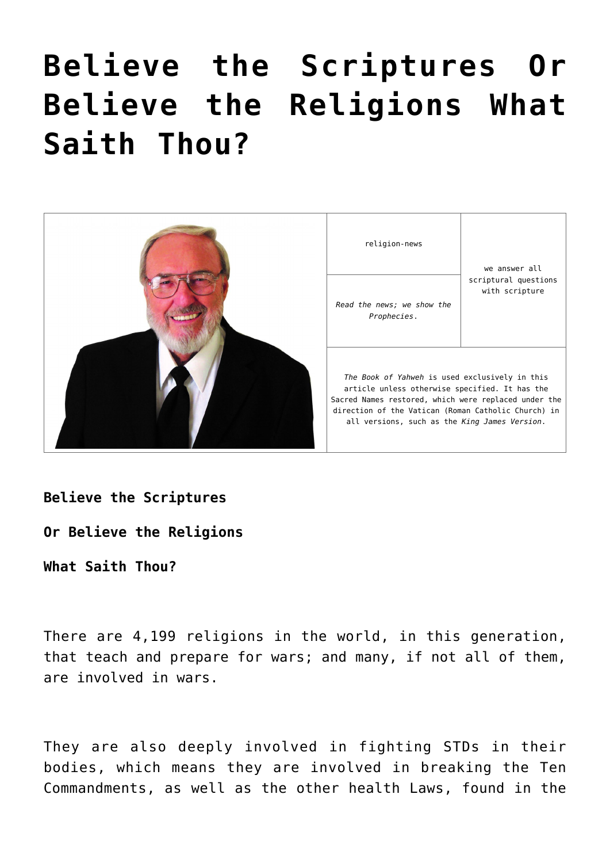# **[Believe the Scriptures Or](https://yahwehsbranch.com/believe-the-scriptures-or-believe-the-religions-what-saith-thou/) [Believe the Religions What](https://yahwehsbranch.com/believe-the-scriptures-or-believe-the-religions-what-saith-thou/) [Saith Thou?](https://yahwehsbranch.com/believe-the-scriptures-or-believe-the-religions-what-saith-thou/)**



**Believe the Scriptures**

**Or Believe the Religions**

**What Saith Thou?**

There are 4,199 religions in the world, in this generation, that teach and prepare for wars; and many, if not all of them, are involved in wars.

They are also deeply involved in fighting STDs in their bodies, which means they are involved in breaking the Ten Commandments, as well as the other health Laws, found in the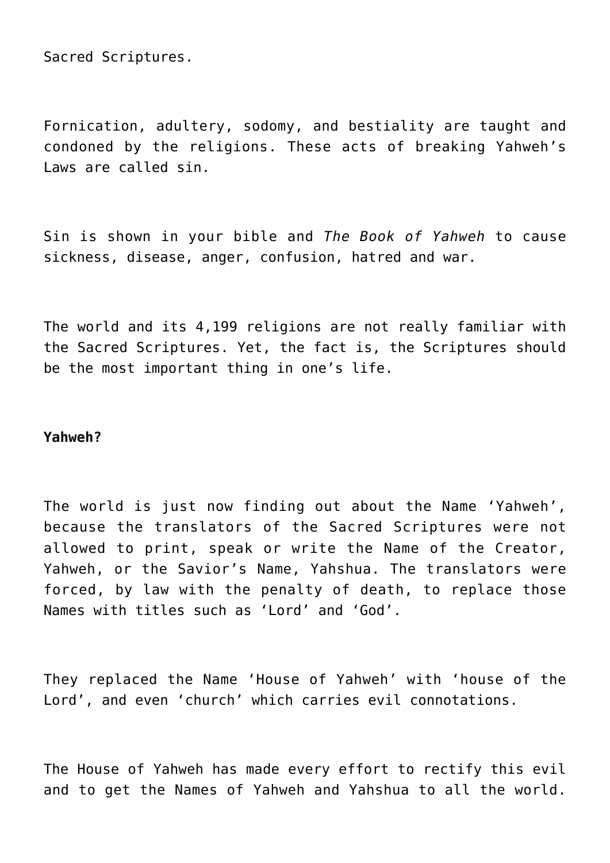Sacred Scriptures.

Fornication, adultery, sodomy, and bestiality are taught and condoned by the religions. These acts of breaking Yahweh's Laws are called sin.

Sin is shown in your bible and *The Book of Yahweh* to cause sickness, disease, anger, confusion, hatred and war.

The world and its 4,199 religions are not really familiar with the Sacred Scriptures. Yet, the fact is, the Scriptures should be the most important thing in one's life.

## **Yahweh?**

The world is just now finding out about the Name 'Yahweh', because the translators of the Sacred Scriptures were not allowed to print, speak or write the Name of the Creator, Yahweh, or the Savior's Name, Yahshua. The translators were forced, by law with the penalty of death, to replace those Names with titles such as 'Lord' and 'God'.

They replaced the Name 'House of Yahweh' with 'house of the Lord', and even 'church' which carries evil connotations.

The House of Yahweh has made every effort to rectify this evil and to get the Names of Yahweh and Yahshua to all the world.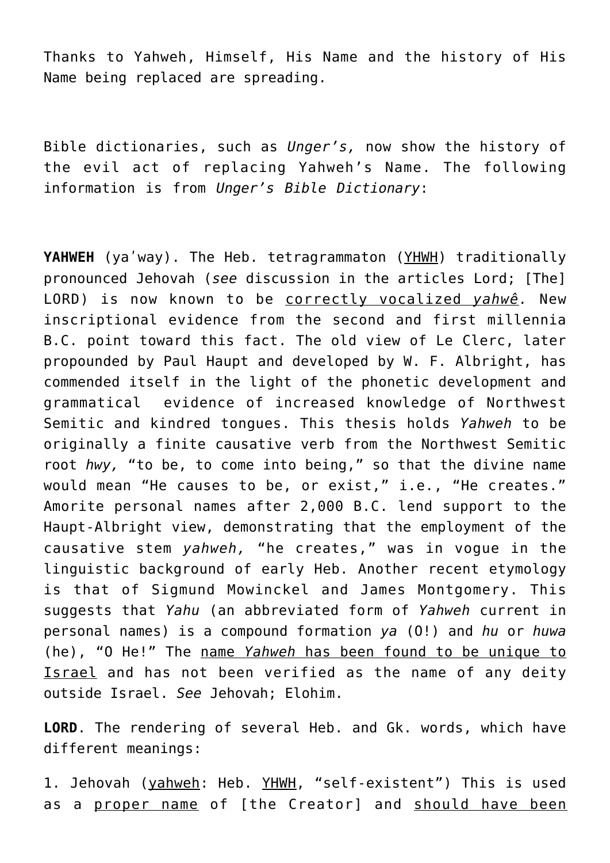Thanks to Yahweh, Himself, His Name and the history of His Name being replaced are spreading.

Bible dictionaries, such as *Unger's,* now show the history of the evil act of replacing Yahweh's Name. The following information is from *Unger's Bible Dictionary*:

**YAHWEH** (ya'way). The Heb. tetragrammaton (YHWH) traditionally pronounced Jehovah (*see* discussion in the articles Lord; [The] LORD) is now known to be correctly vocalized *yahwê.* New inscriptional evidence from the second and first millennia B.C. point toward this fact. The old view of Le Clerc, later propounded by Paul Haupt and developed by W. F. Albright, has commended itself in the light of the phonetic development and grammatical evidence of increased knowledge of Northwest Semitic and kindred tongues. This thesis holds *Yahweh* to be originally a finite causative verb from the Northwest Semitic root *hwy,* "to be, to come into being," so that the divine name would mean "He causes to be, or exist," i.e., "He creates." Amorite personal names after 2,000 B.C. lend support to the Haupt-Albright view, demonstrating that the employment of the causative stem *yahweh,* "he creates," was in vogue in the linguistic background of early Heb. Another recent etymology is that of Sigmund Mowinckel and James Montgomery. This suggests that *Yahu* (an abbreviated form of *Yahweh* current in personal names) is a compound formation *ya* (O!) and *hu* or *huwa* (he), "O He!" The name *Yahweh* has been found to be unique to Israel and has not been verified as the name of any deity outside Israel. *See* Jehovah; Elohim.

**LORD**. The rendering of several Heb. and Gk. words, which have different meanings:

1. Jehovah (yahweh: Heb. YHWH, "self-existent") This is used as a proper name of [the Creator] and should have been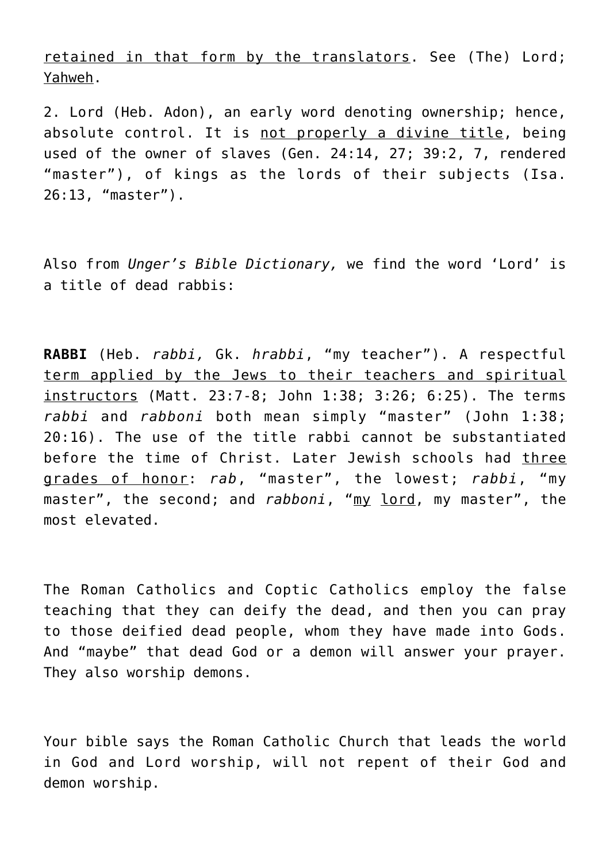retained in that form by the translators. See (The) Lord; Yahweh.

2. Lord (Heb. Adon), an early word denoting ownership; hence, absolute control. It is not properly a divine title, being used of the owner of slaves (Gen. 24:14, 27; 39:2, 7, rendered "master"), of kings as the lords of their subjects (Isa. 26:13, "master").

Also from *Unger's Bible Dictionary,* we find the word 'Lord' is a title of dead rabbis:

**RABBI** (Heb. *rabbi,* Gk. *hrabbi*, "my teacher"). A respectful term applied by the Jews to their teachers and spiritual instructors (Matt. 23:7-8; John 1:38; 3:26; 6:25). The terms *rabbi* and *rabboni* both mean simply "master" (John 1:38; 20:16). The use of the title rabbi cannot be substantiated before the time of Christ. Later Jewish schools had three grades of honor: *rab*, "master", the lowest; *rabbi*, "my master", the second; and *rabboni*, "my lord, my master", the most elevated.

The Roman Catholics and Coptic Catholics employ the false teaching that they can deify the dead, and then you can pray to those deified dead people, whom they have made into Gods. And "maybe" that dead God or a demon will answer your prayer. They also worship demons.

Your bible says the Roman Catholic Church that leads the world in God and Lord worship, will not repent of their God and demon worship.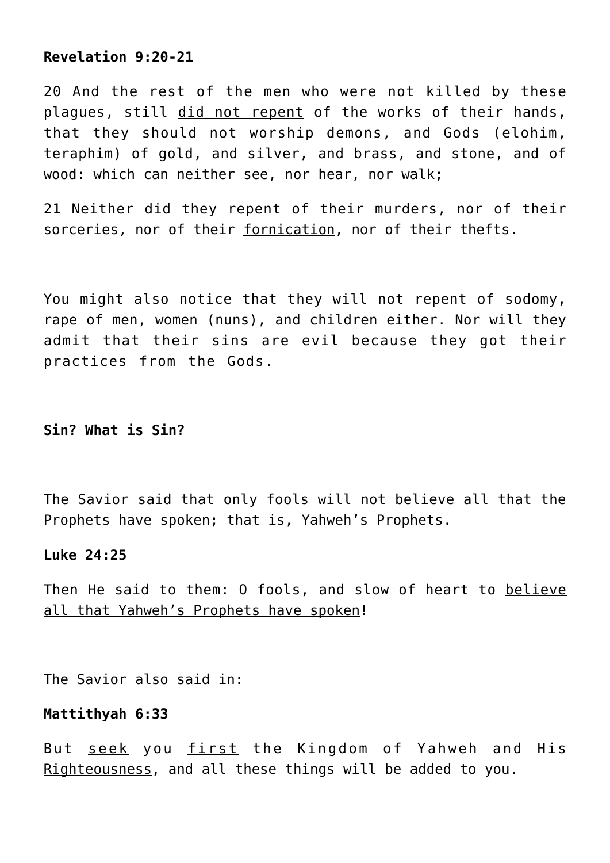# **Revelation 9:20-21**

20 And the rest of the men who were not killed by these plagues, still did not repent of the works of their hands, that they should not worship demons, and Gods (elohim, teraphim) of gold, and silver, and brass, and stone, and of wood: which can neither see, nor hear, nor walk;

21 Neither did they repent of their murders, nor of their sorceries, nor of their fornication, nor of their thefts.

You might also notice that they will not repent of sodomy, rape of men, women (nuns), and children either. Nor will they admit that their sins are evil because they got their practices from the Gods.

## **Sin? What is Sin?**

The Savior said that only fools will not believe all that the Prophets have spoken; that is, Yahweh's Prophets.

## **Luke 24:25**

Then He said to them: O fools, and slow of heart to believe all that Yahweh's Prophets have spoken!

The Savior also said in:

## **Mattithyah 6:33**

But seek you first the Kingdom of Yahweh and His Righteousness, and all these things will be added to you.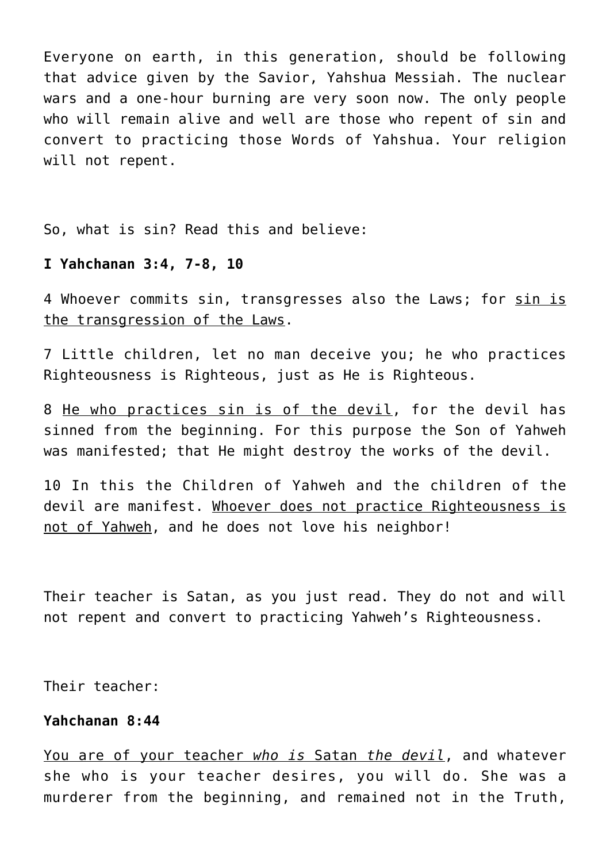Everyone on earth, in this generation, should be following that advice given by the Savior, Yahshua Messiah. The nuclear wars and a one-hour burning are very soon now. The only people who will remain alive and well are those who repent of sin and convert to practicing those Words of Yahshua. Your religion will not repent.

So, what is sin? Read this and believe:

## **I Yahchanan 3:4, 7-8, 10**

4 Whoever commits sin, transgresses also the Laws; for sin is the transgression of the Laws.

7 Little children, let no man deceive you; he who practices Righteousness is Righteous, just as He is Righteous.

8 He who practices sin is of the devil, for the devil has sinned from the beginning. For this purpose the Son of Yahweh was manifested; that He might destroy the works of the devil.

10 In this the Children of Yahweh and the children of the devil are manifest. Whoever does not practice Righteousness is not of Yahweh, and he does not love his neighbor!

Their teacher is Satan, as you just read. They do not and will not repent and convert to practicing Yahweh's Righteousness.

Their teacher:

## **Yahchanan 8:44**

You are of your teacher *who is* Satan *the devil*, and whatever she who is your teacher desires, you will do. She was a murderer from the beginning, and remained not in the Truth,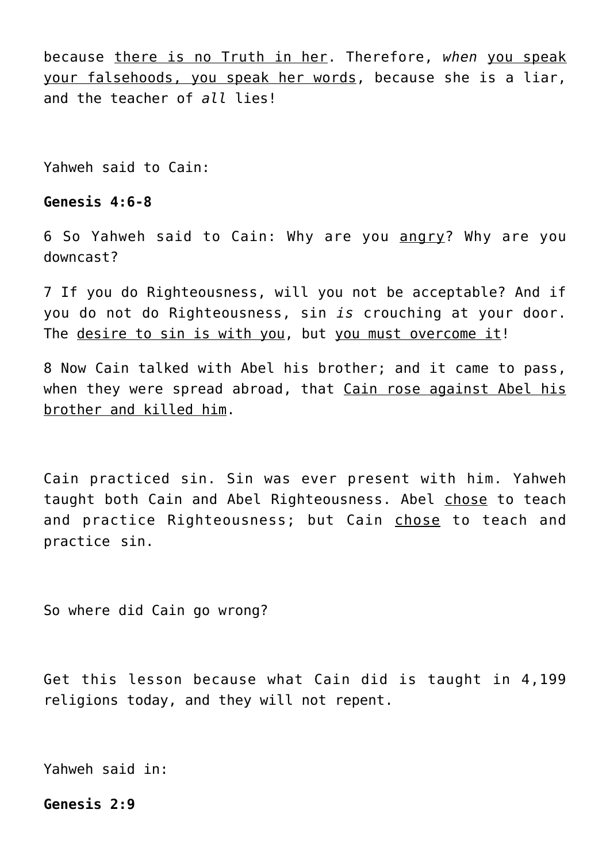because there is no Truth in her. Therefore, *when* you speak your falsehoods, you speak her words, because she is a liar, and the teacher of *all* lies!

Yahweh said to Cain:

## **Genesis 4:6-8**

6 So Yahweh said to Cain: Why are you angry? Why are you downcast?

7 If you do Righteousness, will you not be acceptable? And if you do not do Righteousness, sin *is* crouching at your door. The desire to sin is with you, but you must overcome it!

8 Now Cain talked with Abel his brother; and it came to pass, when they were spread abroad, that Cain rose against Abel his brother and killed him.

Cain practiced sin. Sin was ever present with him. Yahweh taught both Cain and Abel Righteousness. Abel chose to teach and practice Righteousness; but Cain chose to teach and practice sin.

So where did Cain go wrong?

Get this lesson because what Cain did is taught in 4,199 religions today, and they will not repent.

Yahweh said in:

**Genesis 2:9**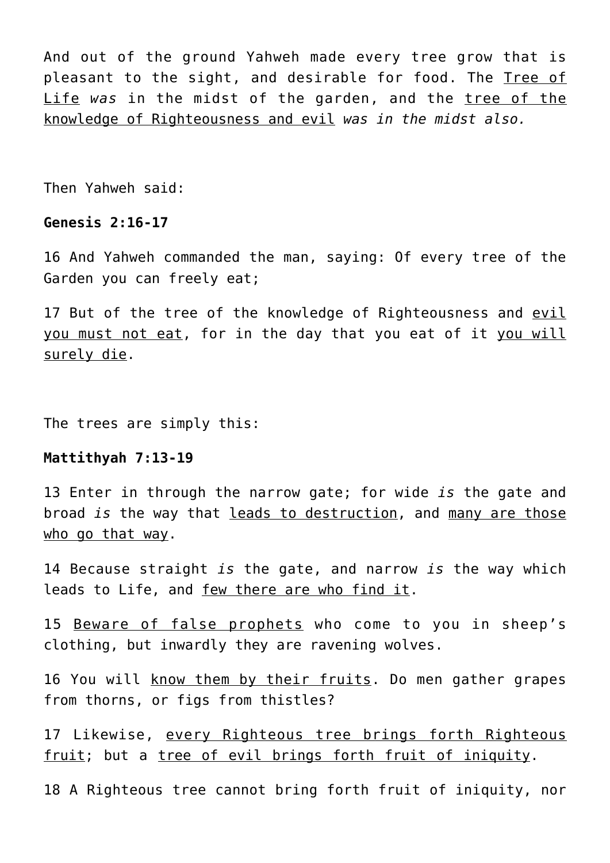And out of the ground Yahweh made every tree grow that is pleasant to the sight, and desirable for food. The Tree of Life *was* in the midst of the garden, and the tree of the knowledge of Righteousness and evil *was in the midst also.*

Then Yahweh said:

## **Genesis 2:16-17**

16 And Yahweh commanded the man, saying: Of every tree of the Garden you can freely eat;

17 But of the tree of the knowledge of Righteousness and evil you must not eat, for in the day that you eat of it you will surely die.

The trees are simply this:

# **Mattithyah 7:13-19**

13 Enter in through the narrow gate; for wide *is* the gate and broad *is* the way that leads to destruction, and many are those who go that way.

14 Because straight *is* the gate, and narrow *is* the way which leads to Life, and few there are who find it.

15 Beware of false prophets who come to you in sheep's clothing, but inwardly they are ravening wolves.

16 You will know them by their fruits. Do men gather grapes from thorns, or figs from thistles?

17 Likewise, every Righteous tree brings forth Righteous fruit; but a tree of evil brings forth fruit of iniquity.

18 A Righteous tree cannot bring forth fruit of iniquity, nor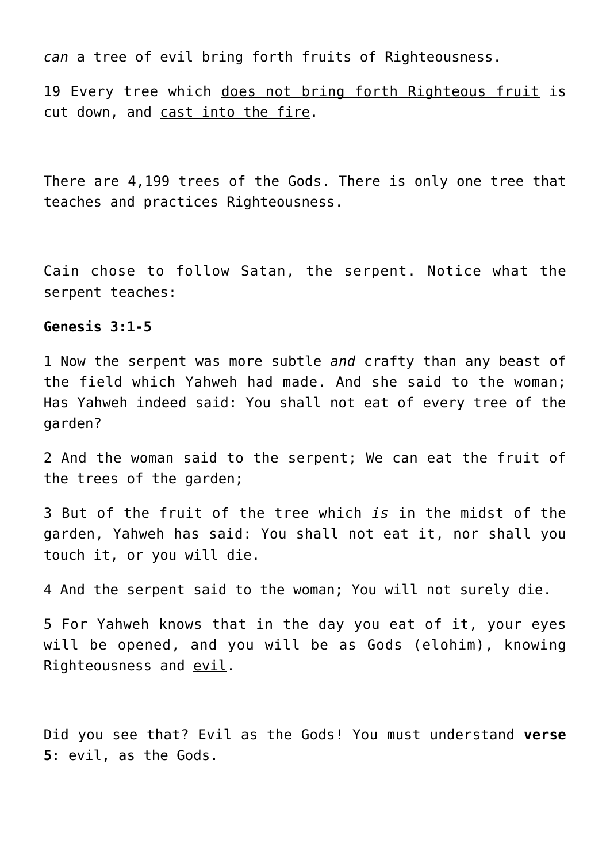*can* a tree of evil bring forth fruits of Righteousness.

19 Every tree which does not bring forth Righteous fruit is cut down, and cast into the fire.

There are 4,199 trees of the Gods. There is only one tree that teaches and practices Righteousness.

Cain chose to follow Satan, the serpent. Notice what the serpent teaches:

## **Genesis 3:1-5**

1 Now the serpent was more subtle *and* crafty than any beast of the field which Yahweh had made. And she said to the woman; Has Yahweh indeed said: You shall not eat of every tree of the garden?

2 And the woman said to the serpent; We can eat the fruit of the trees of the garden;

3 But of the fruit of the tree which *is* in the midst of the garden, Yahweh has said: You shall not eat it, nor shall you touch it, or you will die.

4 And the serpent said to the woman; You will not surely die.

5 For Yahweh knows that in the day you eat of it, your eyes will be opened, and you will be as Gods (elohim), knowing Righteousness and <u>evil</u>.

Did you see that? Evil as the Gods! You must understand **verse 5**: evil, as the Gods.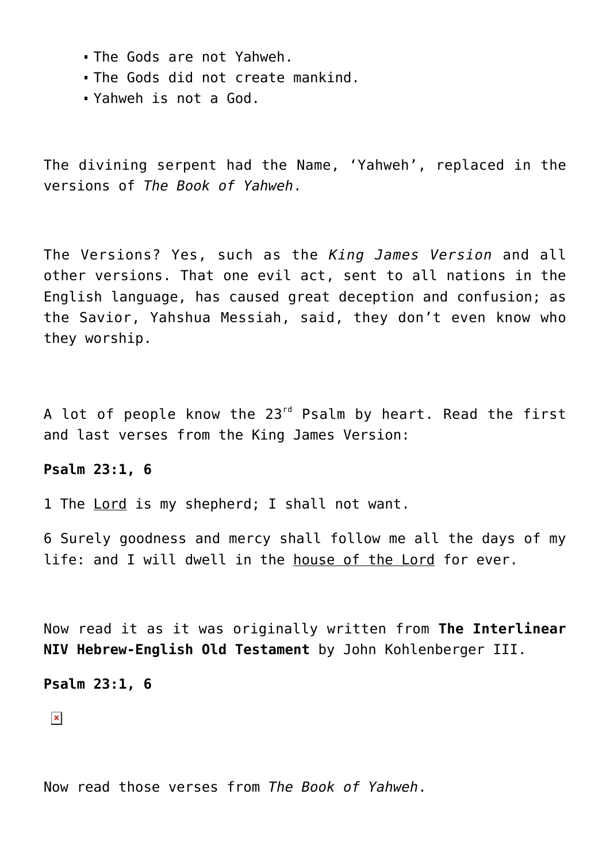- The Gods are not Yahweh.
- The Gods did not create mankind.
- Yahweh is not a God.

The divining serpent had the Name, 'Yahweh', replaced in the versions of *The Book of Yahweh*.

The Versions? Yes, such as the *King James Version* and all other versions. That one evil act, sent to all nations in the English language, has caused great deception and confusion; as the Savior, Yahshua Messiah, said, they don't even know who they worship.

A lot of people know the 23<sup>rd</sup> Psalm by heart. Read the first and last verses from the King James Version:

## **Psalm 23:1, 6**

1 The Lord is my shepherd; I shall not want.

6 Surely goodness and mercy shall follow me all the days of my life: and I will dwell in the house of the Lord for ever.

Now read it as it was originally written from **The Interlinear NIV Hebrew-English Old Testament** by John Kohlenberger III.

# **Psalm 23:1, 6**

 $\pmb{\times}$ 

Now read those verses from *The Book of Yahweh*.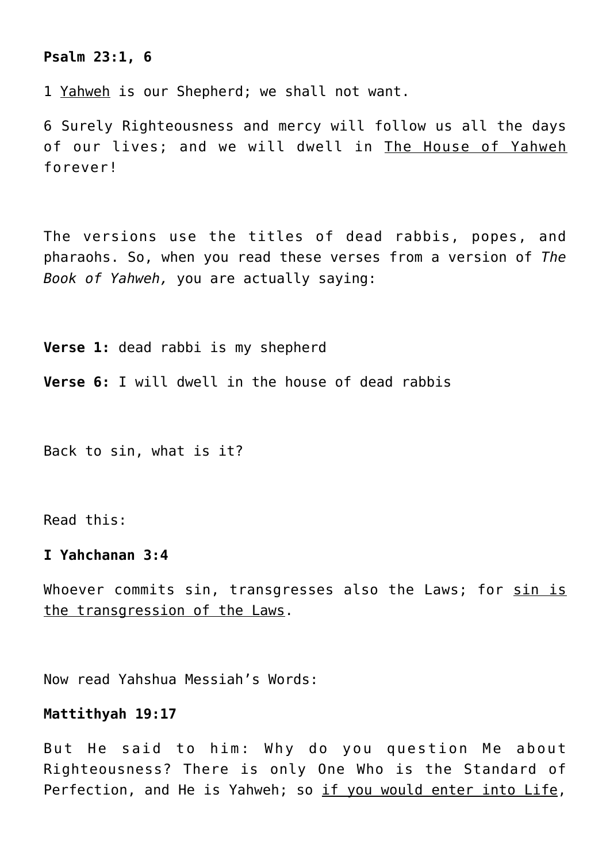## **Psalm 23:1, 6**

1 Yahweh is our Shepherd; we shall not want.

6 Surely Righteousness and mercy will follow us all the days of our lives; and we will dwell in The House of Yahweh forever!

The versions use the titles of dead rabbis, popes, and pharaohs. So, when you read these verses from a version of *The Book of Yahweh,* you are actually saying:

**Verse 1:** dead rabbi is my shepherd

**Verse 6:** I will dwell in the house of dead rabbis

Back to sin, what is it?

Read this:

## **I Yahchanan 3:4**

Whoever commits sin, transgresses also the Laws; for sin is the transgression of the Laws.

Now read Yahshua Messiah's Words:

## **Mattithyah 19:17**

But He said to him: Why do you question Me about Righteousness? There is only One Who is the Standard of Perfection, and He is Yahweh; so if you would enter into Life,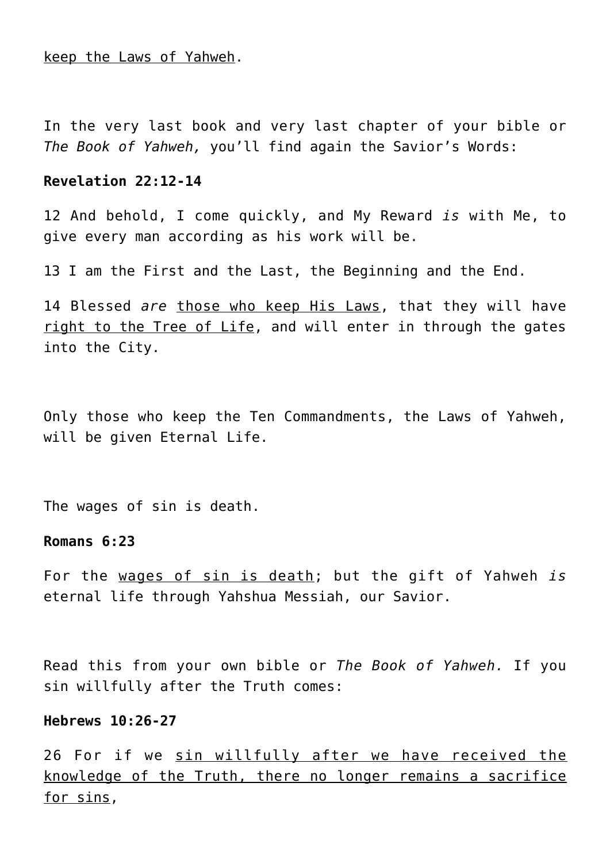keep the Laws of Yahweh.

In the very last book and very last chapter of your bible or *The Book of Yahweh,* you'll find again the Savior's Words:

## **Revelation 22:12-14**

12 And behold, I come quickly, and My Reward *is* with Me, to give every man according as his work will be.

13 I am the First and the Last, the Beginning and the End.

14 Blessed *are* those who keep His Laws, that they will have right to the Tree of Life, and will enter in through the gates into the City.

Only those who keep the Ten Commandments, the Laws of Yahweh, will be given Eternal Life.

The wages of sin is death.

# **Romans 6:23**

For the wages of sin is death; but the gift of Yahweh *is* eternal life through Yahshua Messiah, our Savior.

Read this from your own bible or *The Book of Yahweh.* If you sin willfully after the Truth comes:

## **Hebrews 10:26-27**

26 For if we sin willfully after we have received the knowledge of the Truth, there no longer remains a sacrifice for sins,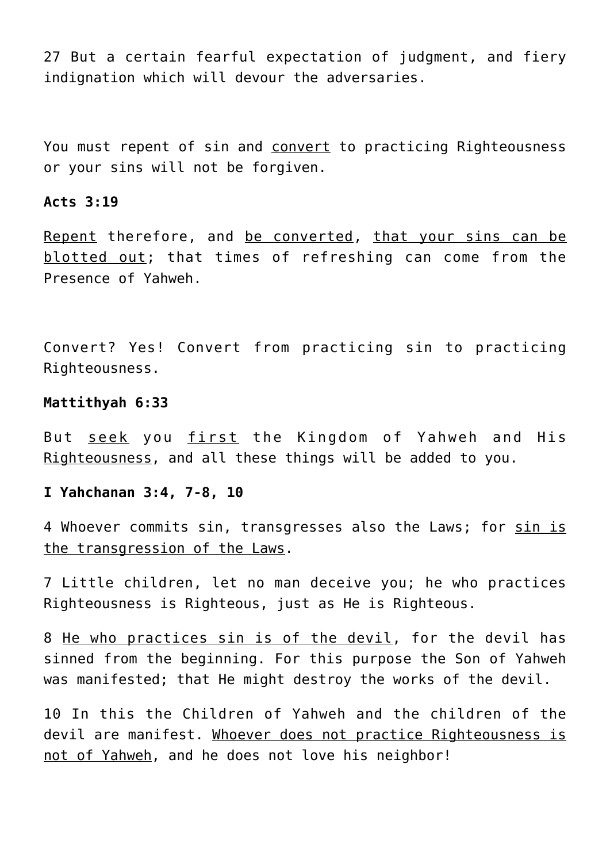27 But a certain fearful expectation of judgment, and fiery indignation which will devour the adversaries.

You must repent of sin and convert to practicing Righteousness or your sins will not be forgiven.

## **Acts 3:19**

Repent therefore, and be converted, that your sins can be blotted out; that times of refreshing can come from the Presence of Yahweh.

Convert? Yes! Convert from practicing sin to practicing Righteousness.

# **Mattithyah 6:33**

But seek you first the Kingdom of Yahweh and His Righteousness, and all these things will be added to you.

# **I Yahchanan 3:4, 7-8, 10**

4 Whoever commits sin, transgresses also the Laws; for sin is the transgression of the Laws.

7 Little children, let no man deceive you; he who practices Righteousness is Righteous, just as He is Righteous.

8 He who practices sin is of the devil, for the devil has sinned from the beginning. For this purpose the Son of Yahweh was manifested; that He might destroy the works of the devil.

10 In this the Children of Yahweh and the children of the devil are manifest. Whoever does not practice Righteousness is not of Yahweh, and he does not love his neighbor!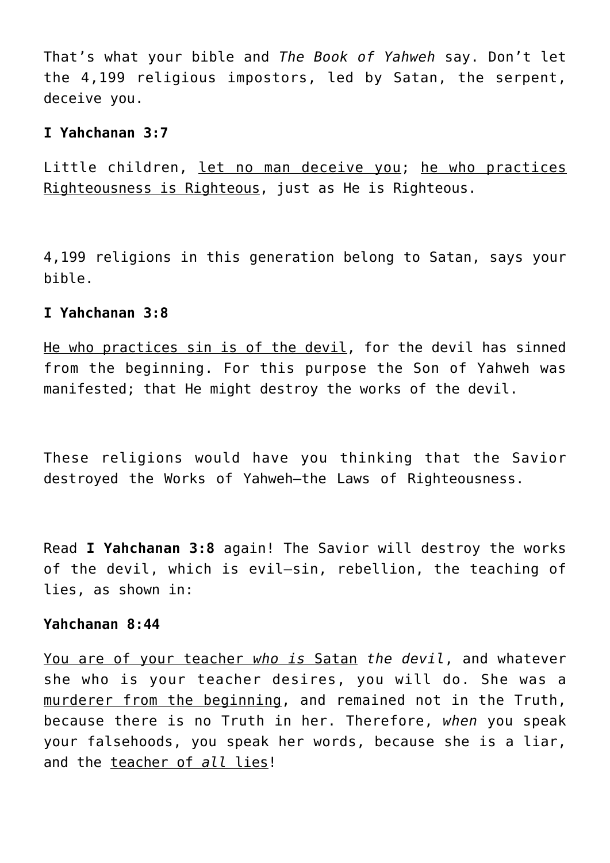That's what your bible and *The Book of Yahweh* say. Don't let the 4,199 religious impostors, led by Satan, the serpent, deceive you.

# **I Yahchanan 3:7**

Little children, let no man deceive you; he who practices Righteousness is Righteous, just as He is Righteous.

4,199 religions in this generation belong to Satan, says your bible.

## **I Yahchanan 3:8**

He who practices sin is of the devil, for the devil has sinned from the beginning. For this purpose the Son of Yahweh was manifested; that He might destroy the works of the devil.

These religions would have you thinking that the Savior destroyed the Works of Yahweh—the Laws of Righteousness.

Read **I Yahchanan 3:8** again! The Savior will destroy the works of the devil, which is evil—sin, rebellion, the teaching of lies, as shown in:

# **Yahchanan 8:44**

You are of your teacher *who is* Satan *the devil*, and whatever she who is your teacher desires, you will do. She was a murderer from the beginning, and remained not in the Truth, because there is no Truth in her. Therefore, *when* you speak your falsehoods, you speak her words, because she is a liar, and the teacher of *all* lies!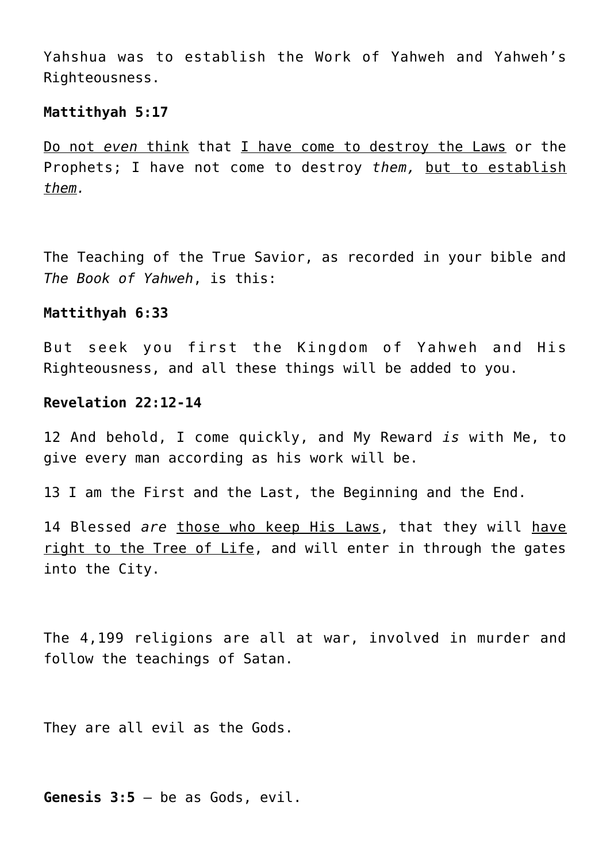Yahshua was to establish the Work of Yahweh and Yahweh's Righteousness.

#### **Mattithyah 5:17**

Do not *even* think that I have come to destroy the Laws or the Prophets; I have not come to destroy *them,* but to establish *them.*

The Teaching of the True Savior, as recorded in your bible and *The Book of Yahweh*, is this:

## **Mattithyah 6:33**

But seek you first the Kingdom of Yahweh and His Righteousness, and all these things will be added to you.

# **Revelation 22:12-14**

12 And behold, I come quickly, and My Reward *is* with Me, to give every man according as his work will be.

13 I am the First and the Last, the Beginning and the End.

14 Blessed *are* those who keep His Laws, that they will have right to the Tree of Life, and will enter in through the gates into the City.

The 4,199 religions are all at war, involved in murder and follow the teachings of Satan.

They are all evil as the Gods.

**Genesis 3:5** – be as Gods, evil.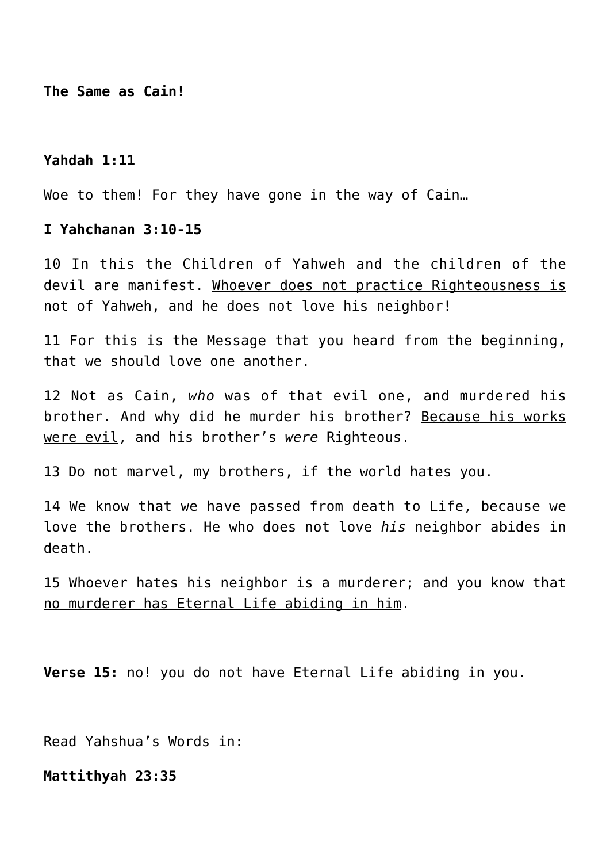**The Same as Cain!**

## **Yahdah 1:11**

Woe to them! For they have gone in the way of Cain…

## **I Yahchanan 3:10-15**

10 In this the Children of Yahweh and the children of the devil are manifest. Whoever does not practice Righteousness is not of Yahweh, and he does not love his neighbor!

11 For this is the Message that you heard from the beginning, that we should love one another.

12 Not as Cain, *who* was of that evil one, and murdered his brother. And why did he murder his brother? Because his works were evil, and his brother's *were* Righteous.

13 Do not marvel, my brothers, if the world hates you.

14 We know that we have passed from death to Life, because we love the brothers. He who does not love *his* neighbor abides in death.

15 Whoever hates his neighbor is a murderer; and you know that no murderer has Eternal Life abiding in him.

**Verse 15:** no! you do not have Eternal Life abiding in you.

Read Yahshua's Words in:

**Mattithyah 23:35**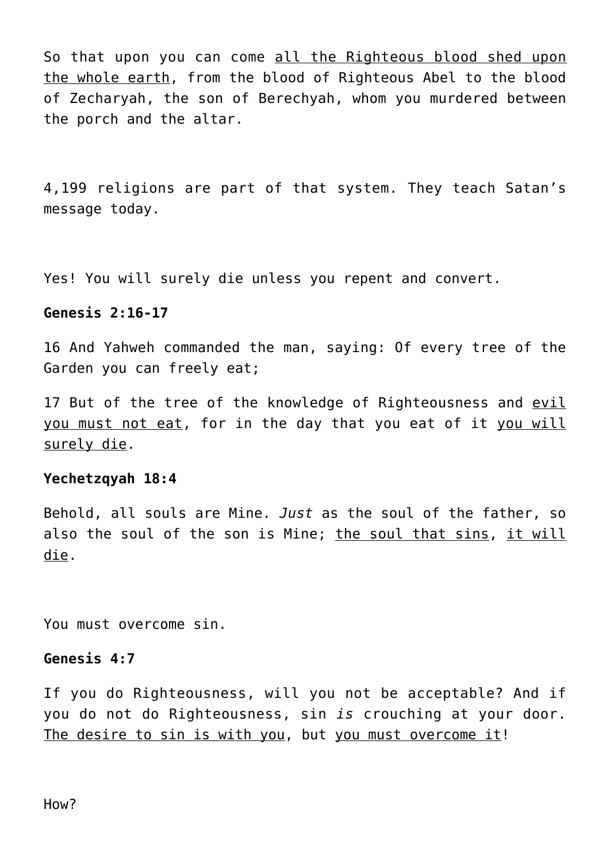So that upon you can come all the Righteous blood shed upon the whole earth, from the blood of Righteous Abel to the blood of Zecharyah, the son of Berechyah, whom you murdered between the porch and the altar.

4,199 religions are part of that system. They teach Satan's message today.

Yes! You will surely die unless you repent and convert.

# **Genesis 2:16-17**

16 And Yahweh commanded the man, saying: Of every tree of the Garden you can freely eat;

17 But of the tree of the knowledge of Righteousness and evil you must not eat, for in the day that you eat of it you will surely die.

## **Yechetzqyah 18:4**

Behold, all souls are Mine. *Just* as the soul of the father, so also the soul of the son is Mine; the soul that sins, it will die.

You must overcome sin.

# **Genesis 4:7**

If you do Righteousness, will you not be acceptable? And if you do not do Righteousness, sin *is* crouching at your door. The desire to sin is with you, but you must overcome it!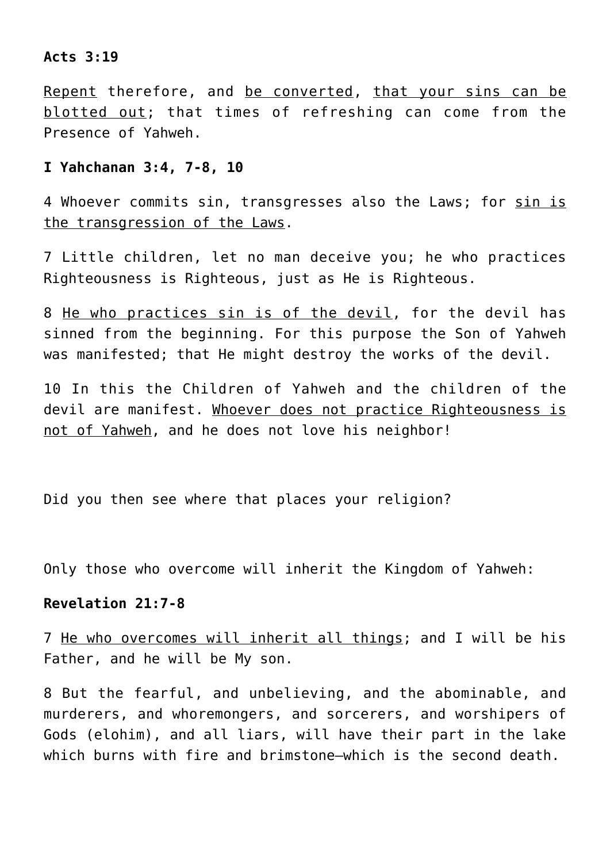# **Acts 3:19**

Repent therefore, and be converted, that your sins can be blotted out; that times of refreshing can come from the Presence of Yahweh.

## **I Yahchanan 3:4, 7-8, 10**

4 Whoever commits sin, transgresses also the Laws; for sin is the transgression of the Laws.

7 Little children, let no man deceive you; he who practices Righteousness is Righteous, just as He is Righteous.

8 He who practices sin is of the devil, for the devil has sinned from the beginning. For this purpose the Son of Yahweh was manifested; that He might destroy the works of the devil.

10 In this the Children of Yahweh and the children of the devil are manifest. Whoever does not practice Righteousness is not of Yahweh, and he does not love his neighbor!

Did you then see where that places your religion?

Only those who overcome will inherit the Kingdom of Yahweh:

# **Revelation 21:7-8**

7 He who overcomes will inherit all things; and I will be his Father, and he will be My son.

8 But the fearful, and unbelieving, and the abominable, and murderers, and whoremongers, and sorcerers, and worshipers of Gods (elohim), and all liars, will have their part in the lake which burns with fire and brimstone—which is the second death.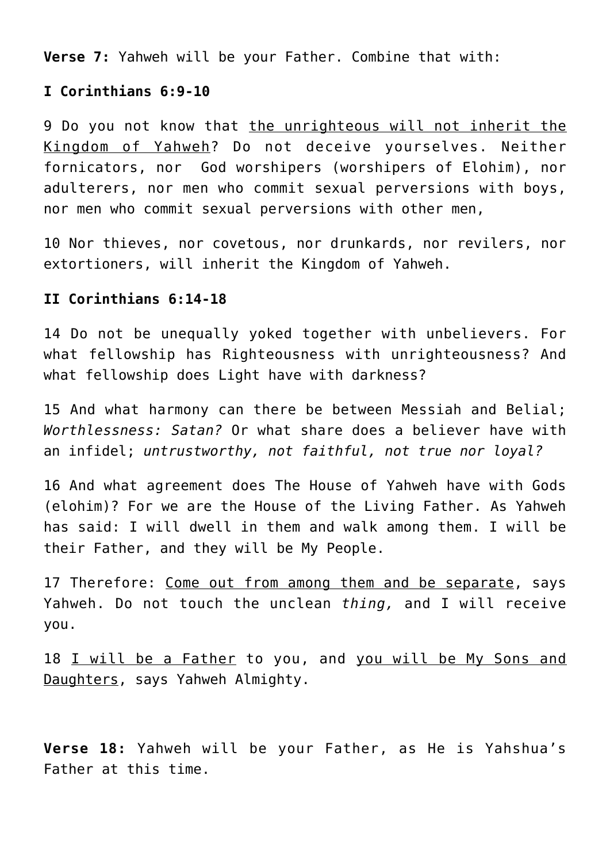**Verse 7:** Yahweh will be your Father. Combine that with:

# **I Corinthians 6:9-10**

9 Do you not know that the unrighteous will not inherit the Kingdom of Yahweh? Do not deceive yourselves. Neither fornicators, nor God worshipers (worshipers of Elohim), nor adulterers, nor men who commit sexual perversions with boys, nor men who commit sexual perversions with other men,

10 Nor thieves, nor covetous, nor drunkards, nor revilers, nor extortioners, will inherit the Kingdom of Yahweh.

# **II Corinthians 6:14-18**

14 Do not be unequally yoked together with unbelievers. For what fellowship has Righteousness with unrighteousness? And what fellowship does Light have with darkness?

15 And what harmony can there be between Messiah and Belial; *Worthlessness: Satan?* Or what share does a believer have with an infidel; *untrustworthy, not faithful, not true nor loyal?*

16 And what agreement does The House of Yahweh have with Gods (elohim)? For we are the House of the Living Father. As Yahweh has said: I will dwell in them and walk among them. I will be their Father, and they will be My People.

17 Therefore: Come out from among them and be separate, says Yahweh. Do not touch the unclean *thing,* and I will receive you.

18 I will be a Father to you, and you will be My Sons and Daughters, says Yahweh Almighty.

**Verse 18:** Yahweh will be your Father, as He is Yahshua's Father at this time.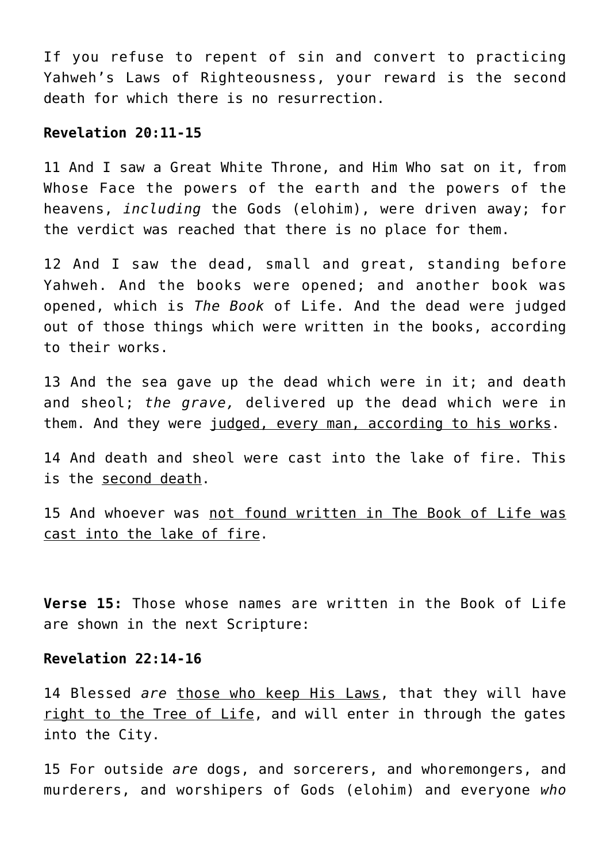If you refuse to repent of sin and convert to practicing Yahweh's Laws of Righteousness, your reward is the second death for which there is no resurrection.

# **Revelation 20:11-15**

11 And I saw a Great White Throne, and Him Who sat on it, from Whose Face the powers of the earth and the powers of the heavens, *including* the Gods (elohim), were driven away; for the verdict was reached that there is no place for them.

12 And I saw the dead, small and great, standing before Yahweh. And the books were opened; and another book was opened, which is *The Book* of Life. And the dead were judged out of those things which were written in the books, according to their works.

13 And the sea gave up the dead which were in it; and death and sheol; *the grave,* delivered up the dead which were in them. And they were judged, every man, according to his works.

14 And death and sheol were cast into the lake of fire. This is the second death.

15 And whoever was not found written in The Book of Life was cast into the lake of fire.

**Verse 15:** Those whose names are written in the Book of Life are shown in the next Scripture:

## **Revelation 22:14-16**

14 Blessed *are* those who keep His Laws, that they will have right to the Tree of Life, and will enter in through the gates into the City.

15 For outside *are* dogs, and sorcerers, and whoremongers, and murderers, and worshipers of Gods (elohim) and everyone *who*